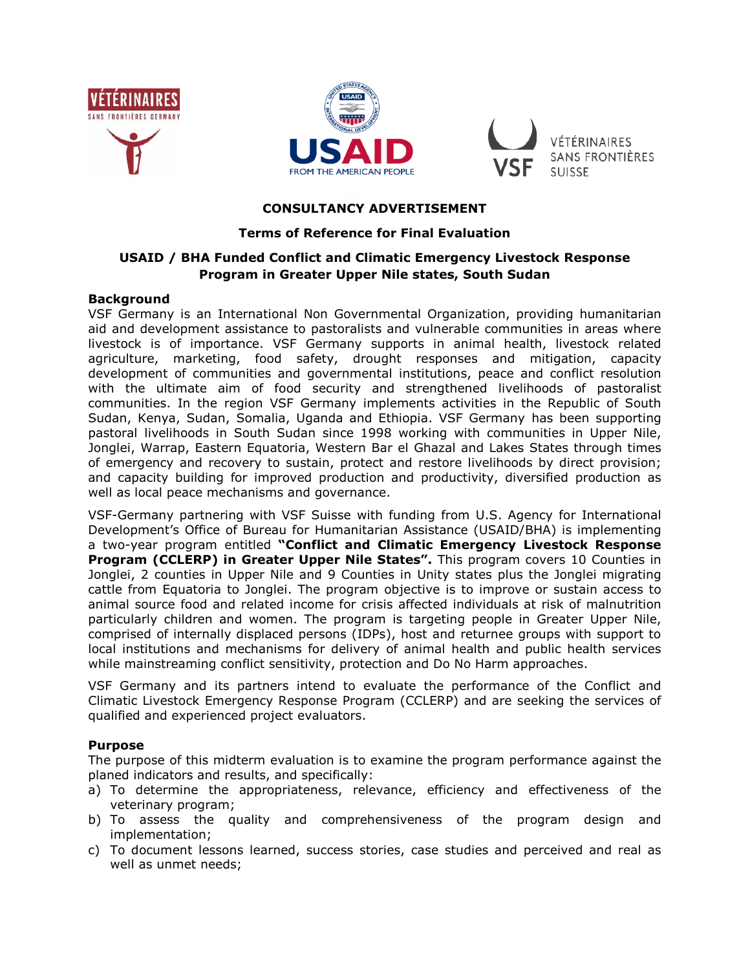





VÉTÉRINAIRES SANS FRONTIÈRES **SUISSE** 

## **CONSULTANCY ADVERTISEMENT**

## **Terms of Reference for Final Evaluation**

# **USAID / BHA Funded Conflict and Climatic Emergency Livestock Response Program in Greater Upper Nile states, South Sudan**

## **Background**

VSF Germany is an International Non Governmental Organization, providing humanitarian aid and development assistance to pastoralists and vulnerable communities in areas where livestock is of importance. VSF Germany supports in animal health, livestock related agriculture, marketing, food safety, drought responses and mitigation, capacity development of communities and governmental institutions, peace and conflict resolution with the ultimate aim of food security and strengthened livelihoods of pastoralist communities. In the region VSF Germany implements activities in the Republic of South Sudan, Kenya, Sudan, Somalia, Uganda and Ethiopia. VSF Germany has been supporting pastoral livelihoods in South Sudan since 1998 working with communities in Upper Nile, Jonglei, Warrap, Eastern Equatoria, Western Bar el Ghazal and Lakes States through times of emergency and recovery to sustain, protect and restore livelihoods by direct provision; and capacity building for improved production and productivity, diversified production as well as local peace mechanisms and governance.

VSF-Germany partnering with VSF Suisse with funding from U.S. Agency for International Development's Office of Bureau for Humanitarian Assistance (USAID/BHA) is implementing a two-year program entitled **"Conflict and Climatic Emergency Livestock Response Program (CCLERP) in Greater Upper Nile States".** This program covers 10 Counties in Jonglei, 2 counties in Upper Nile and 9 Counties in Unity states plus the Jonglei migrating cattle from Equatoria to Jonglei. The program objective is to improve or sustain access to animal source food and related income for crisis affected individuals at risk of malnutrition particularly children and women. The program is targeting people in Greater Upper Nile, comprised of internally displaced persons (IDPs), host and returnee groups with support to local institutions and mechanisms for delivery of animal health and public health services while mainstreaming conflict sensitivity, protection and Do No Harm approaches.

VSF Germany and its partners intend to evaluate the performance of the Conflict and Climatic Livestock Emergency Response Program (CCLERP) and are seeking the services of qualified and experienced project evaluators.

## **Purpose**

The purpose of this midterm evaluation is to examine the program performance against the planed indicators and results, and specifically:

- a) To determine the appropriateness, relevance, efficiency and effectiveness of the veterinary program;
- b) To assess the quality and comprehensiveness of the program design and implementation;
- c) To document lessons learned, success stories, case studies and perceived and real as well as unmet needs;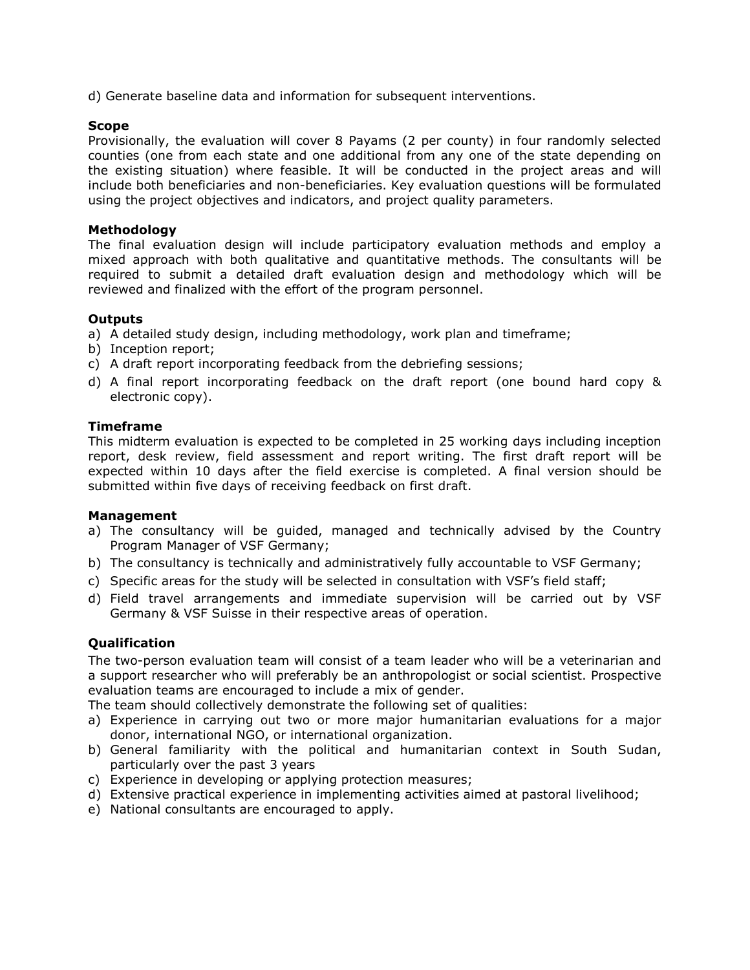d) Generate baseline data and information for subsequent interventions.

#### **Scope**

Provisionally, the evaluation will cover 8 Payams (2 per county) in four randomly selected counties (one from each state and one additional from any one of the state depending on the existing situation) where feasible. It will be conducted in the project areas and will include both beneficiaries and non-beneficiaries. Key evaluation questions will be formulated using the project objectives and indicators, and project quality parameters.

## **Methodology**

The final evaluation design will include participatory evaluation methods and employ a mixed approach with both qualitative and quantitative methods. The consultants will be required to submit a detailed draft evaluation design and methodology which will be reviewed and finalized with the effort of the program personnel.

## **Outputs**

- a) A detailed study design, including methodology, work plan and timeframe;
- b) Inception report;
- c) A draft report incorporating feedback from the debriefing sessions;
- d) A final report incorporating feedback on the draft report (one bound hard copy & electronic copy).

#### **Timeframe**

This midterm evaluation is expected to be completed in 25 working days including inception report, desk review, field assessment and report writing. The first draft report will be expected within 10 days after the field exercise is completed. A final version should be submitted within five days of receiving feedback on first draft.

## **Management**

- a) The consultancy will be guided, managed and technically advised by the Country Program Manager of VSF Germany;
- b) The consultancy is technically and administratively fully accountable to VSF Germany;
- c) Specific areas for the study will be selected in consultation with VSF's field staff;
- d) Field travel arrangements and immediate supervision will be carried out by VSF Germany & VSF Suisse in their respective areas of operation.

## **Qualification**

The two-person evaluation team will consist of a team leader who will be a veterinarian and a support researcher who will preferably be an anthropologist or social scientist. Prospective evaluation teams are encouraged to include a mix of gender.

The team should collectively demonstrate the following set of qualities:

- a) Experience in carrying out two or more major humanitarian evaluations for a major donor, international NGO, or international organization.
- b) General familiarity with the political and humanitarian context in South Sudan, particularly over the past 3 years
- c) Experience in developing or applying protection measures;
- d) Extensive practical experience in implementing activities aimed at pastoral livelihood;
- e) National consultants are encouraged to apply.